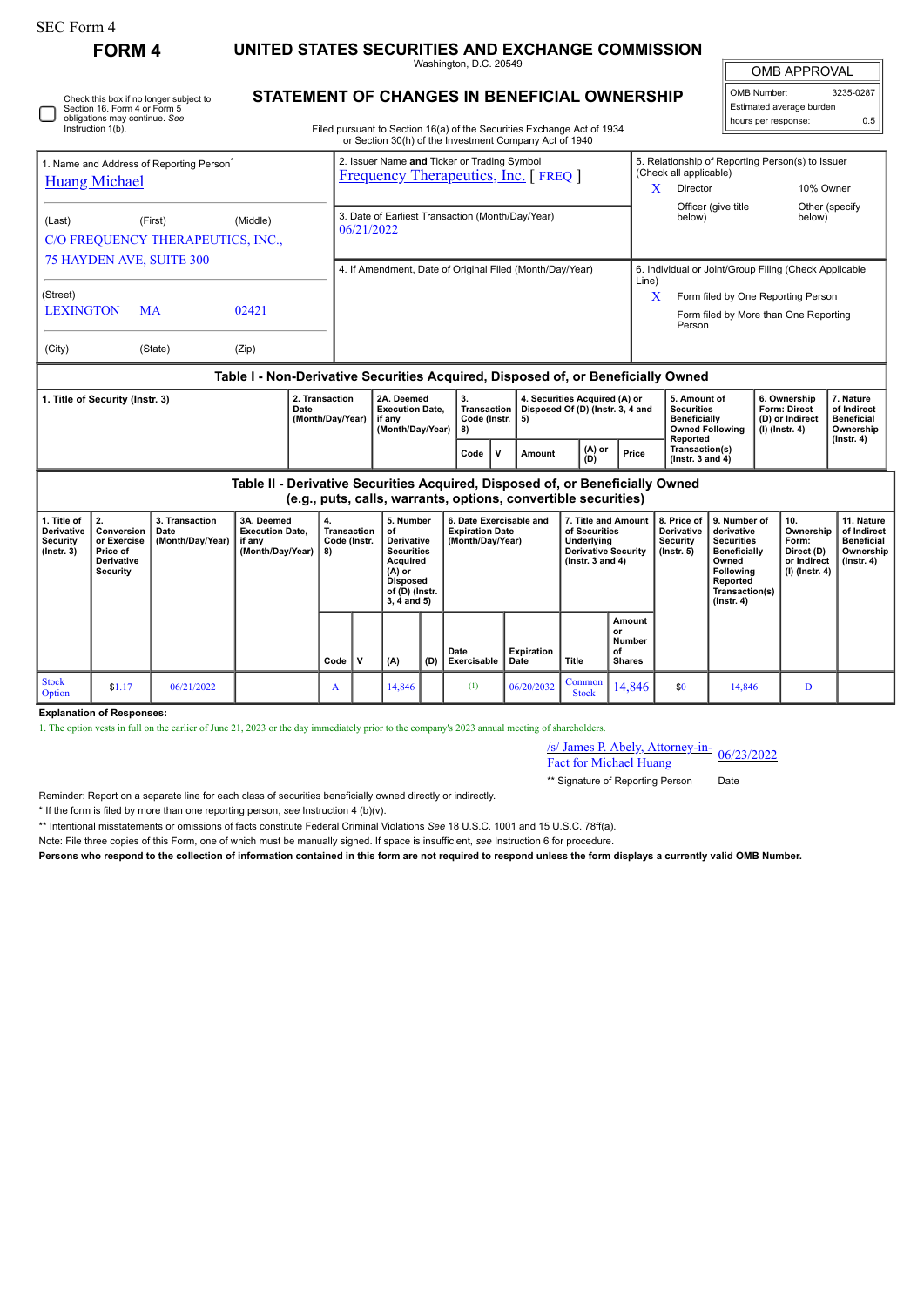П

Check this box if no longer subject to Section 16. Form 4 or Form 5 obligations may continue. *See* Instruction 1(b).

**FORM 4 UNITED STATES SECURITIES AND EXCHANGE COMMISSION**

Washington, D.C. 20549

OMB APPROVAL OMB Number: 3235-0287

| OMB Number:              | 3235-0287 |
|--------------------------|-----------|
| Estimated average burden |           |
| hours per response:      | 0.5       |

Filed pursuant to Section 16(a) of the Securities Exchange Act of 1934

**STATEMENT OF CHANGES IN BENEFICIAL OWNERSHIP**

|                                                                                                                                                 |                                                                              |                                            |                                                                    |  |                                                                |                                                                                            |                                                                                                                                         |     |                                                                                                      | or Section 30(h) of the Investment Company Act of 1940 |      |                                                                         |                                                                             |                                                                            |                                                                   |                                                                                                                                          |                        |                                                                            |                                                                           |                                                                                |
|-------------------------------------------------------------------------------------------------------------------------------------------------|------------------------------------------------------------------------------|--------------------------------------------|--------------------------------------------------------------------|--|----------------------------------------------------------------|--------------------------------------------------------------------------------------------|-----------------------------------------------------------------------------------------------------------------------------------------|-----|------------------------------------------------------------------------------------------------------|--------------------------------------------------------|------|-------------------------------------------------------------------------|-----------------------------------------------------------------------------|----------------------------------------------------------------------------|-------------------------------------------------------------------|------------------------------------------------------------------------------------------------------------------------------------------|------------------------|----------------------------------------------------------------------------|---------------------------------------------------------------------------|--------------------------------------------------------------------------------|
| 1. Name and Address of Reporting Person <sup>®</sup><br><b>Huang Michael</b>                                                                    |                                                                              |                                            |                                                                    |  |                                                                | 2. Issuer Name and Ticker or Trading Symbol<br><b>Frequency Therapeutics, Inc.</b> [FREQ ] |                                                                                                                                         |     |                                                                                                      |                                                        |      |                                                                         |                                                                             | 5. Relationship of Reporting Person(s) to Issuer<br>(Check all applicable) |                                                                   |                                                                                                                                          |                        |                                                                            |                                                                           |                                                                                |
|                                                                                                                                                 |                                                                              |                                            |                                                                    |  |                                                                |                                                                                            |                                                                                                                                         |     |                                                                                                      |                                                        |      |                                                                         |                                                                             | $\mathbf{X}$                                                               | Director                                                          |                                                                                                                                          |                        | 10% Owner                                                                  |                                                                           |                                                                                |
| (Last)                                                                                                                                          |                                                                              | (First)                                    | (Middle)                                                           |  | 3. Date of Earliest Transaction (Month/Day/Year)<br>06/21/2022 |                                                                                            |                                                                                                                                         |     |                                                                                                      |                                                        |      |                                                                         |                                                                             |                                                                            | below)                                                            | Officer (give title                                                                                                                      |                        | Other (specify<br>below)                                                   |                                                                           |                                                                                |
| C/O FREQUENCY THERAPEUTICS, INC.,                                                                                                               |                                                                              |                                            |                                                                    |  |                                                                |                                                                                            |                                                                                                                                         |     |                                                                                                      |                                                        |      |                                                                         |                                                                             |                                                                            |                                                                   |                                                                                                                                          |                        |                                                                            |                                                                           |                                                                                |
| <b>75 HAYDEN AVE, SUITE 300</b>                                                                                                                 |                                                                              |                                            |                                                                    |  | 4. If Amendment, Date of Original Filed (Month/Day/Year)       |                                                                                            |                                                                                                                                         |     |                                                                                                      |                                                        |      |                                                                         | 6. Individual or Joint/Group Filing (Check Applicable<br>Line)              |                                                                            |                                                                   |                                                                                                                                          |                        |                                                                            |                                                                           |                                                                                |
| (Street)                                                                                                                                        |                                                                              |                                            |                                                                    |  |                                                                |                                                                                            |                                                                                                                                         |     |                                                                                                      |                                                        |      |                                                                         |                                                                             |                                                                            | X<br>Form filed by One Reporting Person                           |                                                                                                                                          |                        |                                                                            |                                                                           |                                                                                |
| <b>LEXINGTON</b>                                                                                                                                |                                                                              | <b>MA</b>                                  | 02421                                                              |  |                                                                |                                                                                            |                                                                                                                                         |     |                                                                                                      |                                                        |      |                                                                         |                                                                             |                                                                            | Form filed by More than One Reporting<br>Person                   |                                                                                                                                          |                        |                                                                            |                                                                           |                                                                                |
| (City)                                                                                                                                          |                                                                              | (State)                                    | (Zip)                                                              |  |                                                                |                                                                                            |                                                                                                                                         |     |                                                                                                      |                                                        |      |                                                                         |                                                                             |                                                                            |                                                                   |                                                                                                                                          |                        |                                                                            |                                                                           |                                                                                |
| Table I - Non-Derivative Securities Acquired, Disposed of, or Beneficially Owned                                                                |                                                                              |                                            |                                                                    |  |                                                                |                                                                                            |                                                                                                                                         |     |                                                                                                      |                                                        |      |                                                                         |                                                                             |                                                                            |                                                                   |                                                                                                                                          |                        |                                                                            |                                                                           |                                                                                |
| 2. Transaction<br>1. Title of Security (Instr. 3)<br>Date                                                                                       |                                                                              |                                            |                                                                    |  |                                                                | 2A. Deemed<br><b>Execution Date.</b><br>(Month/Day/Year)<br>if any<br>(Month/Day/Year)     |                                                                                                                                         |     | 3.<br>Transaction<br>Code (Instr.<br>8)                                                              |                                                        |      | 4. Securities Acquired (A) or<br>Disposed Of (D) (Instr. 3, 4 and<br>5) |                                                                             |                                                                            | 5. Amount of<br><b>Securities</b><br>Beneficially<br>Reported     |                                                                                                                                          | <b>Owned Following</b> |                                                                            | 6. Ownership<br>Form: Direct<br>(D) or Indirect<br>$(I)$ (Instr. 4)       | 7. Nature<br>of Indirect<br><b>Beneficial</b><br>Ownership<br>$($ Instr. 4 $)$ |
|                                                                                                                                                 | (A) or<br>(D)<br>$\mathbf v$<br>Code<br>Amount                               |                                            |                                                                    |  |                                                                |                                                                                            | Price                                                                                                                                   |     | Transaction(s)<br>( $lnstr. 3 and 4$ )                                                               |                                                        |      |                                                                         |                                                                             |                                                                            |                                                                   |                                                                                                                                          |                        |                                                                            |                                                                           |                                                                                |
| Table II - Derivative Securities Acquired, Disposed of, or Beneficially Owned<br>(e.g., puts, calls, warrants, options, convertible securities) |                                                                              |                                            |                                                                    |  |                                                                |                                                                                            |                                                                                                                                         |     |                                                                                                      |                                                        |      |                                                                         |                                                                             |                                                                            |                                                                   |                                                                                                                                          |                        |                                                                            |                                                                           |                                                                                |
| 1. Title of<br><b>Derivative</b><br>Security<br>$($ Instr. 3 $)$                                                                                | 2.<br>Conversion<br>or Exercise<br>Price of<br><b>Derivative</b><br>Security | 3. Transaction<br>Date<br>(Month/Day/Year) | 3A. Deemed<br><b>Execution Date.</b><br>if any<br>(Month/Day/Year) |  | 4.<br><b>Transaction</b><br>Code (Instr.<br>8)                 |                                                                                            | 5. Number<br>of<br><b>Derivative</b><br><b>Securities</b><br>Acquired<br>(A) or<br><b>Disposed</b><br>of (D) (Instr.<br>$3, 4$ and $5)$ |     | 6. Date Exercisable and<br><b>Expiration Date</b><br>of Securities<br>(Month/Day/Year)<br>Underlying |                                                        |      |                                                                         | 7. Title and Amount<br><b>Derivative Security</b><br>$($ lnstr. 3 and 4 $)$ |                                                                            | 8. Price of<br><b>Derivative</b><br><b>Security</b><br>(Instr. 5) | 9. Number of<br>derivative<br><b>Securities</b><br><b>Beneficially</b><br>Owned<br>Following<br>Reported<br>Transaction(s)<br>(Instr. 4) |                        | 10.<br>Ownership<br>Form:<br>Direct (D)<br>or Indirect<br>$(I)$ (Instr. 4) | 11. Nature<br>of Indirect<br><b>Beneficial</b><br>Ownership<br>(Instr. 4) |                                                                                |
|                                                                                                                                                 |                                                                              |                                            |                                                                    |  | Code                                                           | $\mathbf v$                                                                                | (A)                                                                                                                                     | (D) | Date                                                                                                 | Exercisable                                            | Date | <b>Expiration</b>                                                       | <b>Title</b>                                                                | Amount<br>or<br><b>Number</b><br>of<br><b>Shares</b>                       |                                                                   |                                                                                                                                          |                        |                                                                            |                                                                           |                                                                                |

**Explanation of Responses:**

Stock<br>Option

1. The option vests in full on the earlier of June 21, 2023 or the day immediately prior to the company's 2023 annual meeting of shareholders.

Stock  $\begin{bmatrix} 51.17 \\ 96/21/2022 \end{bmatrix}$  A 14,846 (1) 06/20/2032 Common Stock

/s/ James P. Abely, Attorney-in- $\frac{\text{S}}{\text{S}}$  James P. Abely, Attorney-in-<br>Fact for Michael Huang

 $\begin{array}{|c|c|c|c|c|c|c|} \hline \text{Common} & 14,846 & \text{so} & 14,846 & \text{D} \ \hline \end{array}$ 

\*\* Signature of Reporting Person Date

Reminder: Report on a separate line for each class of securities beneficially owned directly or indirectly.

\* If the form is filed by more than one reporting person, *see* Instruction 4 (b)(v).

\*\* Intentional misstatements or omissions of facts constitute Federal Criminal Violations *See* 18 U.S.C. 1001 and 15 U.S.C. 78ff(a).

Note: File three copies of this Form, one of which must be manually signed. If space is insufficient, *see* Instruction 6 for procedure.

**Persons who respond to the collection of information contained in this form are not required to respond unless the form displays a currently valid OMB Number.**

**Code V (A) (D)**